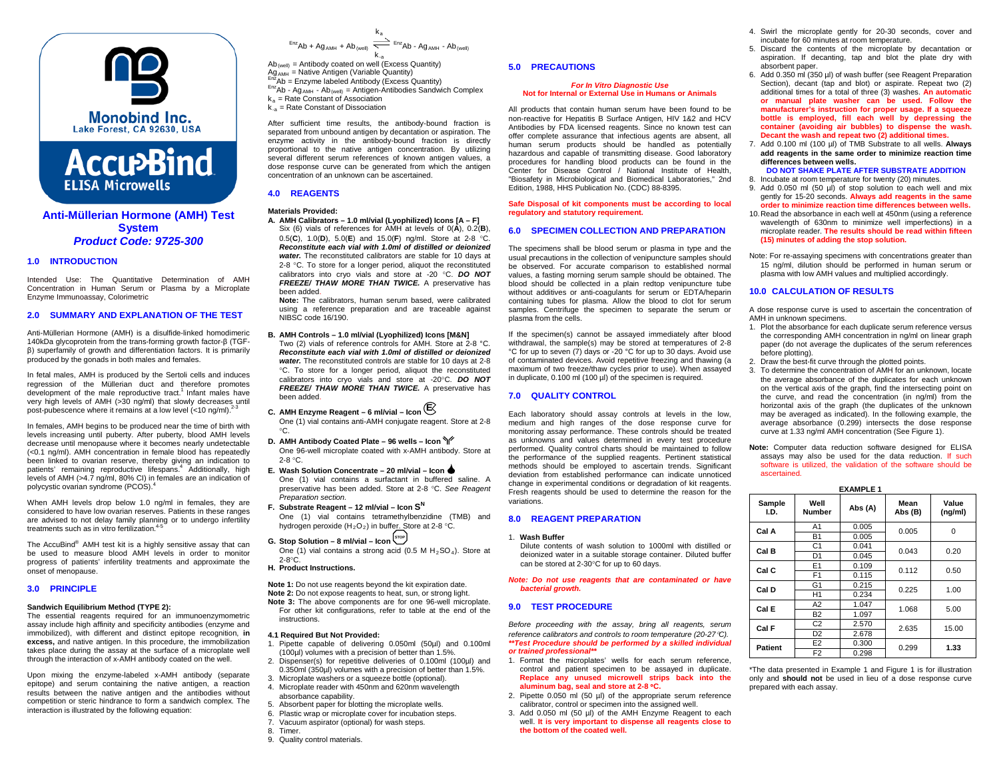



# **Anti-Müllerian Hormone (AMH) Test System** *Product Code: 9725-300*

## **1.0 INTRODUCTION**

Intended Use: The Quantitative Determination of AMH Concentration in Human Serum or Plasma by a Microplate Enzyme Immunoassay, Colorimetric

### **2.0 SUMMARY AND EXPLANATION OF THE TEST**

Anti-Müllerian Hormone (AMH) is a disulfide-linked homodimeric 140kDa glycoprotein from the trans-forming growth factor-β (TGFβ) superfamily of growth and differentiation factors. It is primarily produced by the gonads in both males and females.

In fetal males, AMH is produced by the Sertoli cells and induces regression of the Müllerian duct and therefore promotes development of the male reproductive tract.<sup>1</sup> Infant males have very high levels of AMH (>30 ng/ml) that slowly decreases until post-pubescence where it remains at a low level  $\left($  <10 ng/ml).<sup>2</sup>

In females, AMH begins to be produced near the time of birth with levels increasing until puberty. After puberty, blood AMH levels decrease until menopause where it becomes nearly undetectable (<0.1 ng/ml). AMH concentration in female blood has repeatedly been linked to ovarian reserve, thereby giving an indication to patients' remaining reproductive lifespans.<sup>4</sup> Additionally, high levels of AMH (>4.7 ng/ml, 80% CI) in females are an indication of polycystic ovarian syndrome (PCOS).<sup>4</sup>

When AMH levels drop below 1.0 ng/ml in females, they are considered to have low ovarian reserves. Patients in these ranges are advised to not delay family planning or to undergo infertility treatments such as in vitro fertilization.4-5

The AccuBind® AMH test kit is a highly sensitive assay that can be used to measure blood AMH levels in order to monitor progress of patients' infertility treatments and approximate the onset of menopause.

### **3.0 PRINCIPLE**

### **Sandwich Equilibrium Method (TYPE 2):**

The essential reagents required for an immunoenzymometric assay include high affinity and specificity antibodies (enzyme and immobilized), with different and distinct epitope recognition, **in excess,** and native antigen. In this procedure, the immobilization takes place during the assay at the surface of a microplate well through the interaction of x-AMH antibody coated on the well.

Upon mixing the enzyme-labeled x-AMH antibody (separate epitope) and serum containing the native antigen, a reaction results between the native antigen and the antibodies without competition or steric hindrance to form a sandwich complex. The interaction is illustrated by the following equation:

|                                                            | k.  |                                                              |  |
|------------------------------------------------------------|-----|--------------------------------------------------------------|--|
| $e^{-\pi z}$ Ab + Ag <sub>AMH</sub> + Ab <sub>(well)</sub> |     | Enz <sub>Ab</sub> - Ag <sub>AMH</sub> - Ab <sub>(well)</sub> |  |
|                                                            | k., |                                                              |  |

Ab (well) = Antibody coated on well (Excess Quantity)<br>Ag  $_{AMH}$  = Native Antigen (Variable Quantity)  $\frac{Enz}{2}$ Ab = Enzyme labeled Antibody (Excess Quantity)<br>  $\frac{Enz}{2}$ Ab - Ag<sub>AMH</sub> - Ab<sub>(well)</sub> = Antigen-Antibodies Sandwich Complex  $k<sub>a</sub>$  = Rate Constant of Association  $k_{-2}$  = Rate Constant of Dissociation

After sufficient time results, the antibody-bound fraction is separated from unbound antigen by decantation or aspiration. The enzyme activity in the antibody-bound fraction is directly proportional to the native antigen concentration. By utilizing several different serum references of known antigen values, a dose response curve can be generated from which the antigen concentration of an unknown can be ascertained.

## **4.0 REAGENTS**

#### **Materials Provided:**

**A. AMH Calibrators – 1.0 ml/vial (Lyophilized) Icons [A – F]** Six (6) vials of references for AMH at levels of 0(**A**), 0.2(**B**), 0.5(**C**), 1.0(**D**), 5.0(**E**) and 15.0(**F**) ng/ml. Store at 2-8 °C. *Reconstitute each vial with 1.0ml of distilled or deionized water.* The reconstituted calibrators are stable for 10 days at 2-8 °C. To store for a longer period, aliquot the reconstituted calibrators into cryo vials and store at -20 °C. *DO NOT FREEZE/ THAW MORE THAN TWICE.* A preservative has been added.

**Note:** The calibrators, human serum based, were calibrated using a reference preparation and are traceable against NIBSC code 16/190.

- **B. AMH Controls – 1.0 ml/vial (Lyophilized) Icons [M&N]** Two (2) vials of reference controls for AMH. Store at 2-8 °C. *Reconstitute each vial with 1.0ml of distilled or deionized water.* The reconstituted controls are stable for 10 days at 2-8 °C. To store for a longer period, aliquot the reconstituted calibrators into cryo vials and store at -20°C. *DO NOT FREEZE/ THAW MORE THAN TWICE.* A preservative has been added.
- **C. AMH Enzyme Reagent – <sup>6</sup> ml/vial – Icon E**

One (1) vial contains anti-AMH conjugate reagent. Store at 2-8 °C.

- **D. AMH Antibody Coated Plate – 96 wells – Icon**  One 96-well microplate coated with x-AMH antibody. Store at 2-8 °C.
- **E. Wash Solution Concentrate – 20 ml/vial – Icon**  One (1) vial contains a surfactant in buffered saline. A preservative has been added. Store at 2-8 °C. *See Reagent Preparation section.*
- **F. Substrate Reagent – 12 ml/vial – Icon S<sup>N</sup>** One (1) vial contains tetramethylbenzidine (TMB) and hydrogen peroxide (H<sub>2</sub>O<sub>2</sub>) in buffer. Store at 2-8 °C.
- G. Stop Solution 8 ml/vial Icon  $\left(\frac{\text{stop}}{2}\right)$ One (1) vial contains a strong acid (0.5 M  $H_2SO_4$ ). Store at 2-8°C.
- **H. Product Instructions.**

**Note 1:** Do not use reagents beyond the kit expiration date. **Note 2:** Do not expose reagents to heat, sun, or strong light.

- **Note 3:** The above components are for one 96-well microplate. For other kit configurations, refer to table at the end of the instructions.
- **4.1 Required But Not Provided:**
- 1. Pipette capable of delivering 0.050ml (50µl) and 0.100ml (100µl) volumes with a precision of better than 1.5%.
- 2. Dispenser(s) for repetitive deliveries of 0.100ml (100µl) and 0.350ml (350µl) volumes with a precision of better than 1.5%.
- 3. Microplate washers or a squeeze bottle (optional).<br>4. Microplate reader with 450nm and 620nm waveler Microplate reader with 450nm and 620nm wavelength absorbance capability.
- 5. Absorbent paper for blotting the microplate wells.
- 6. Plastic wrap or microplate cover for incubation steps.
- 7. Vacuum aspirator (optional) for wash steps.
- 8. Timer.
- 9. Quality control materials.

## **5.0 PRECAUTIONS**

### *For In Vitro Diagnostic Use* **Not for Internal or External Use in Humans or Animals**

All products that contain human serum have been found to be non-reactive for Hepatitis B Surface Antigen, HIV 1&2 and HCV Antibodies by FDA licensed reagents. Since no known test can offer complete assurance that infectious agents are absent, all human serum products should be handled as potentially hazardous and capable of transmitting disease. Good laboratory procedures for handling blood products can be found in the Center for Disease Control / National Institute of Health, "Biosafety in Microbiological and Biomedical Laboratories," 2nd Edition, 1988, HHS Publication No. (CDC) 88-8395.

#### **Safe Disposal of kit components must be according to local regulatory and statutory requirement.**

## **6.0 SPECIMEN COLLECTION AND PREPARATION**

The specimens shall be blood serum or plasma in type and the usual precautions in the collection of venipuncture samples should be observed. For accurate comparison to established normal values, a fasting morning serum sample should be obtained. The blood should be collected in a plain redtop venipuncture tube without additives or anti-coagulants for serum or EDTA/heparin containing tubes for plasma. Allow the blood to clot for serum samples. Centrifuge the specimen to separate the serum or plasma from the cells.

If the specimen(s) cannot be assayed immediately after blood withdrawal, the sample(s) may be stored at temperatures of 2-8 °C for up to seven (7) days or -20 °C for up to 30 days. Avoid use of contaminated devices. Avoid repetitive freezing and thawing (a maximum of two freeze/thaw cycles prior to use). When assayed in duplicate, 0.100 ml (100 µl) of the specimen is required.

## **7.0 QUALITY CONTROL**

Each laboratory should assay controls at levels in the low, medium and high ranges of the dose response curve for monitoring assay performance. These controls should be treated as unknowns and values determined in every test procedure performed. Quality control charts should be maintained to follow the performance of the supplied reagents. Pertinent statistical methods should be employed to ascertain trends. Significant deviation from established performance can indicate unnoticed change in experimental conditions or degradation of kit reagents. Fresh reagents should be used to determine the reason for the variations.

### **8.0 REAGENT PREPARATION**

#### 1. **Wash Buffer**

Dilute contents of wash solution to 1000ml with distilled or deionized water in a suitable storage container. Diluted buffer can be stored at 2-30°C for up to 60 days.

### *Note: Do not use reagents that are contaminated or have bacterial growth.*

## **9.0 TEST PROCEDURE**

*Before proceeding with the assay, bring all reagents, serum reference calibrators and controls to room temperature (20-27*°*C). \*\*Test Procedure should be performed by a skilled individual or trained professional\*\**

- 1. Format the microplates' wells for each serum reference, control and patient specimen to be assayed in duplicate. **Replace any unused microwell strips back into the aluminum bag, seal and store at 2-8** °**C.**
- 2. Pipette 0.050 ml (50 µl) of the appropriate serum reference calibrator, control or specimen into the assigned well.
- 3. Add 0.050 ml (50 µl) of the AMH Enzyme Reagent to each well. **It is very important to dispense all reagents close to the bottom of the coated well.**
- 4. Swirl the microplate gently for 20-30 seconds, cover and incubate for 60 minutes at room temperature.
- 5. Discard the contents of the microplate by decantation or aspiration. If decanting, tap and blot the plate dry with absorbent paper.
- 6. Add 0.350 ml (350 µl) of wash buffer (see Reagent Preparation Section), decant (tap and blot) or aspirate. Repeat two (2) additional times for a total of three (3) washes. **An automatic or manual plate washer can be used. Follow the manufacturer's instruction for proper usage. If a squeeze bottle is employed, fill each well by depressing the container (avoiding air bubbles) to dispense the wash. Decant the wash and repeat two (2) additional times.**
- 7. Add 0.100 ml (100 µl) of TMB Substrate to all wells. **Always add reagents in the same order to minimize reaction time differences between wells.**
- **DO NOT SHAKE PLATE AFTER SUBSTRATE ADDITION** 8. Incubate at room temperature for twenty (20) minutes.
- 9. Add 0.050 ml (50 ul) of stop solution to each well and mix gently for 15-20 seconds. **Always add reagents in the same order to minimize reaction time differences between wells.**
- 10.Read the absorbance in each well at 450nm (using a reference wavelength of 630nm to minimize well imperfections) in a microplate reader. **The results should be read within fifteen (15) minutes of adding the stop solution.**
- Note: For re-assaying specimens with concentrations greater than 15 ng/ml, dilution should be performed in human serum or plasma with low AMH values and multiplied accordingly.

## **10.0 CALCULATION OF RESULTS**

A dose response curve is used to ascertain the concentration of AMH in unknown specimens.

- 1. Plot the absorbance for each duplicate serum reference versus the corresponding AMH concentration in ng/ml on linear graph paper (do not average the duplicates of the serum references before plotting).
- 2. Draw the best-fit curve through the plotted points.
- To determine the concentration of AMH for an unknown, locate the average absorbance of the duplicates for each unknown on the vertical axis of the graph, find the intersecting point on the curve, and read the concentration (in ng/ml) from the horizontal axis of the graph (the duplicates of the unknown may be averaged as indicated). In the following example, the average absorbance (0.299) intersects the dose response curve at 1.33 ng/ml AMH concentration (See Figure 1).
- **Note:** Computer data reduction software designed for ELISA assays may also be used for the data reduction. If such software is utilized, the validation of the software should be ascertained.

| <b>EXAMPLE 1</b> |                       |         |                 |                  |  |  |
|------------------|-----------------------|---------|-----------------|------------------|--|--|
| Sample<br>I.D.   | Well<br><b>Number</b> | Abs (A) | Mean<br>Abs (B) | Value<br>(ng/ml) |  |  |
| Cal A            | A <sub>1</sub>        | 0.005   | 0.005           | 0                |  |  |
|                  | <b>B1</b>             | 0.005   |                 |                  |  |  |
| Cal B            | C <sub>1</sub>        | 0.041   | 0.043           | 0.20             |  |  |
|                  | D <sub>1</sub>        | 0.045   |                 |                  |  |  |
| Cal C            | E1                    | 0.109   | 0.112           | 0.50             |  |  |
|                  | F1                    | 0.115   |                 |                  |  |  |
| Cal D            | G1                    | 0.215   | 0.225           | 1.00             |  |  |
|                  | H1                    | 0.234   |                 |                  |  |  |
| Cal E            | A <sub>2</sub>        | 1.047   | 1.068           | 5.00             |  |  |
|                  | <b>B2</b>             | 1.097   |                 |                  |  |  |
| Cal F            | C <sub>2</sub>        | 2.570   | 2.635           | 15.00            |  |  |
|                  | D <sub>2</sub>        | 2.678   |                 |                  |  |  |
| <b>Patient</b>   | E <sub>2</sub>        | 0.300   | 0.299           | 1.33             |  |  |
|                  | F <sub>2</sub>        | 0.298   |                 |                  |  |  |

\*The data presented in Example 1 and Figure 1 is for illustration only and **should not** be used in lieu of a dose response curve prepared with each assay.